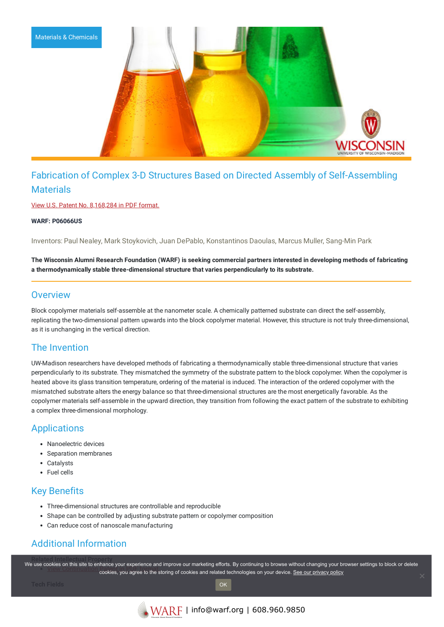

# Fabrication of Complex 3-D Structures Based on Directed Assembly of Self-Assembling **Materials**

View U.S. Patent No. [8,168,284](https://www.warf.org/wp-content/uploads/technologies/ipstatus/P06066US.PDF) in PDF format.

**WARF: P06066US**

Inventors: Paul Nealey, Mark Stoykovich, Juan DePablo, Konstantinos Daoulas, Marcus Muller, Sang-Min Park

The Wisconsin Alumni Research Foundation (WARF) is seeking commercial partners interested in developing methods of fabricating **a thermodynamically stable three-dimensional structure that varies perpendicularly to its substrate.**

#### **Overview**

Block copolymer materials self-assemble at the nanometer scale. A chemically patterned substrate can direct the self-assembly, replicating the two-dimensional pattern upwards into the block copolymer material. However, this structure is not truly three-dimensional, as it is unchanging in the vertical direction.

### The Invention

UW-Madison researchers have developed methods of fabricating a thermodynamically stable three-dimensional structure that varies perpendicularly to its substrate. They mismatched the symmetry of the substrate pattern to the block copolymer. When the copolymer is heated above its glass transition temperature, ordering of the material is induced. The interaction of the ordered copolymer with the mismatched substrate alters the energy balance so that three-dimensional structures are the most energetically favorable. As the copolymer materials self-assemble in the upward direction, they transition from following the exact pattern of the substrate to exhibiting a complex three-dimensional morphology.

### **Applications**

- Nanoelectric devices
- Separation membranes
- Catalysts
- Fuel cells

#### Key Benefits

- Three-dimensional structures are controllable and reproducible
- Shape can be controlled by adjusting substrate pattern or copolymer composition
- Can reduce cost of nanoscale manufacturing

## Additional Information

We use c[ookies on this site to enhance your experience and](https://www.warf.org/wp-content/uploads/technologies/ipstatus/P06066USCON1.pdf) improve our marketing efforts. By continuing to browse without changing your browser settings to block or delete exace on the store of continued your origination and improve our multimating formating to promotion minder shanging your privacy policy.<br>Cookies, you agree to the storing of cookies and related technologies on your device.

OK